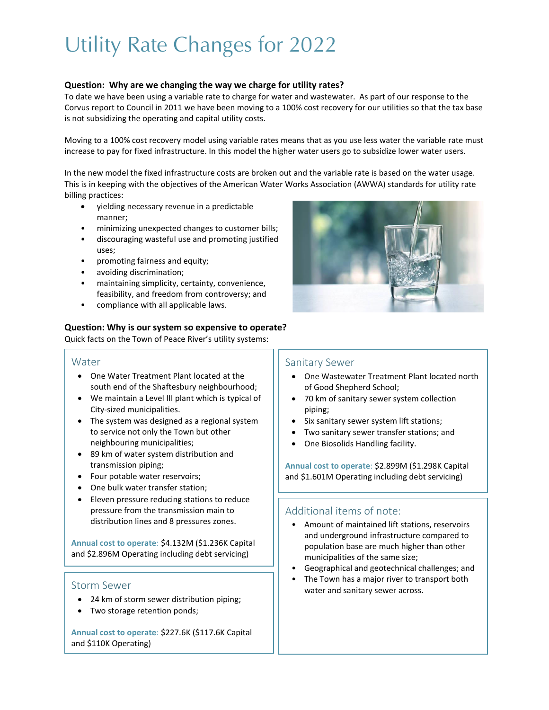# Utility Rate Changes for 2022

#### **Question: Why are we changing the way we charge for utility rates?**

To date we have been using a variable rate to charge for water and wastewater. As part of our response to the Corvus report to Council in 2011 we have been moving to a 100% cost recovery for our utilities so that the tax base is not subsidizing the operating and capital utility costs.

Moving to a 100% cost recovery model using variable rates means that as you use less water the variable rate must increase to pay for fixed infrastructure. In this model the higher water users go to subsidize lower water users.

In the new model the fixed infrastructure costs are broken out and the variable rate is based on the water usage. This is in keeping with the objectives of the American Water Works Association (AWWA) standards for utility rate billing practices:

- yielding necessary revenue in a predictable manner;
- minimizing unexpected changes to customer bills;
- discouraging wasteful use and promoting justified uses;
- promoting fairness and equity;
- avoiding discrimination;
- maintaining simplicity, certainty, convenience, feasibility, and freedom from controversy; and
- compliance with all applicable laws.

#### **Question: Why is our system so expensive to operate?**

Quick facts on the Town of Peace River's utility systems:

#### Water

- One Water Treatment Plant located at the south end of the Shaftesbury neighbourhood;
- We maintain a Level III plant which is typical of City-sized municipalities.
- The system was designed as a regional system to service not only the Town but other neighbouring municipalities;
- 89 km of water system distribution and transmission piping;
- Four potable water reservoirs;
- One bulk water transfer station;
- Eleven pressure reducing stations to reduce pressure from the transmission main to distribution lines and 8 pressures zones.

**Annual cost to operate**: \$4.132M (\$1.236K Capital and \$2.896M Operating including debt servicing)

- 24 km of storm sewer distribution piping;
- Two storage retention ponds;

**Annual cost to operate**: \$227.6K (\$117.6K Capital and \$110K Operating)



#### Sanitary Sewer

- One Wastewater Treatment Plant located north of Good Shepherd School;
- 70 km of sanitary sewer system collection piping;
- Six sanitary sewer system lift stations;
- Two sanitary sewer transfer stations; and
- One Biosolids Handling facility.

**Annual cost to operate**: \$2.899M (\$1.298K Capital and \$1.601M Operating including debt servicing)

### Additional items of note:

- Amount of maintained lift stations, reservoirs and underground infrastructure compared to population base are much higher than other municipalities of the same size;
- Geographical and geotechnical challenges; and
- The Town has a major river to transport both Storm Sewer **Supplementary Storm Sewer across.**